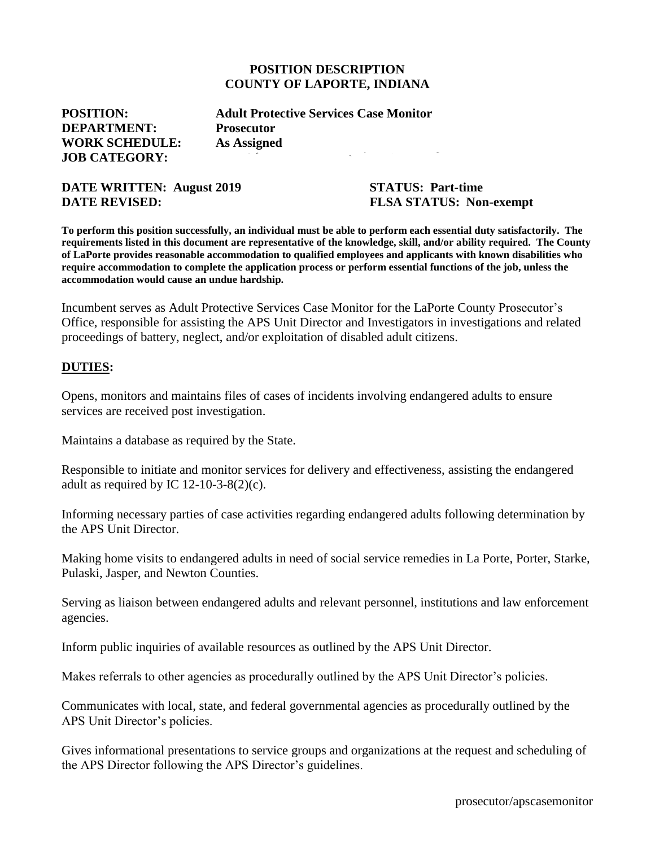#### **POSITION DESCRIPTION COUNTY OF LAPORTE, INDIANA**

**DEPARTMENT: Prosecutor WORK SCHEDULE: As Assigned JOB CATEGORY:** 

**POSITION: Adult Protective Services Case Monitor**

#### **DATE WRITTEN: August 2019 STATUS: Part-time DATE REVISED:** FLSA STATUS: Non-exempt

**To perform this position successfully, an individual must be able to perform each essential duty satisfactorily. The requirements listed in this document are representative of the knowledge, skill, and/or ability required. The County of LaPorte provides reasonable accommodation to qualified employees and applicants with known disabilities who require accommodation to complete the application process or perform essential functions of the job, unless the accommodation would cause an undue hardship.**

Incumbent serves as Adult Protective Services Case Monitor for the LaPorte County Prosecutor's Office, responsible for assisting the APS Unit Director and Investigators in investigations and related proceedings of battery, neglect, and/or exploitation of disabled adult citizens.

#### **DUTIES:**

Opens, monitors and maintains files of cases of incidents involving endangered adults to ensure services are received post investigation.

Maintains a database as required by the State.

Responsible to initiate and monitor services for delivery and effectiveness, assisting the endangered adult as required by IC 12-10-3-8(2)(c).

Informing necessary parties of case activities regarding endangered adults following determination by the APS Unit Director.

Making home visits to endangered adults in need of social service remedies in La Porte, Porter, Starke, Pulaski, Jasper, and Newton Counties.

Serving as liaison between endangered adults and relevant personnel, institutions and law enforcement agencies.

Inform public inquiries of available resources as outlined by the APS Unit Director.

Makes referrals to other agencies as procedurally outlined by the APS Unit Director's policies.

Communicates with local, state, and federal governmental agencies as procedurally outlined by the APS Unit Director's policies.

Gives informational presentations to service groups and organizations at the request and scheduling of the APS Director following the APS Director's guidelines.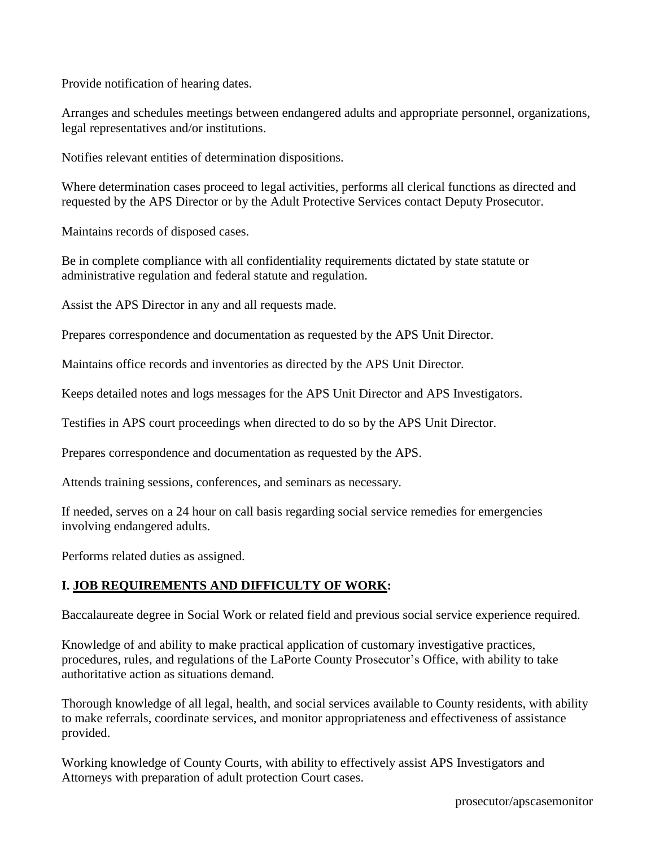Provide notification of hearing dates.

Arranges and schedules meetings between endangered adults and appropriate personnel, organizations, legal representatives and/or institutions.

Notifies relevant entities of determination dispositions.

Where determination cases proceed to legal activities, performs all clerical functions as directed and requested by the APS Director or by the Adult Protective Services contact Deputy Prosecutor.

Maintains records of disposed cases.

Be in complete compliance with all confidentiality requirements dictated by state statute or administrative regulation and federal statute and regulation.

Assist the APS Director in any and all requests made.

Prepares correspondence and documentation as requested by the APS Unit Director.

Maintains office records and inventories as directed by the APS Unit Director.

Keeps detailed notes and logs messages for the APS Unit Director and APS Investigators.

Testifies in APS court proceedings when directed to do so by the APS Unit Director.

Prepares correspondence and documentation as requested by the APS.

Attends training sessions, conferences, and seminars as necessary.

If needed, serves on a 24 hour on call basis regarding social service remedies for emergencies involving endangered adults.

Performs related duties as assigned.

## **I. JOB REQUIREMENTS AND DIFFICULTY OF WORK:**

Baccalaureate degree in Social Work or related field and previous social service experience required.

Knowledge of and ability to make practical application of customary investigative practices, procedures, rules, and regulations of the LaPorte County Prosecutor's Office, with ability to take authoritative action as situations demand.

Thorough knowledge of all legal, health, and social services available to County residents, with ability to make referrals, coordinate services, and monitor appropriateness and effectiveness of assistance provided.

Working knowledge of County Courts, with ability to effectively assist APS Investigators and Attorneys with preparation of adult protection Court cases.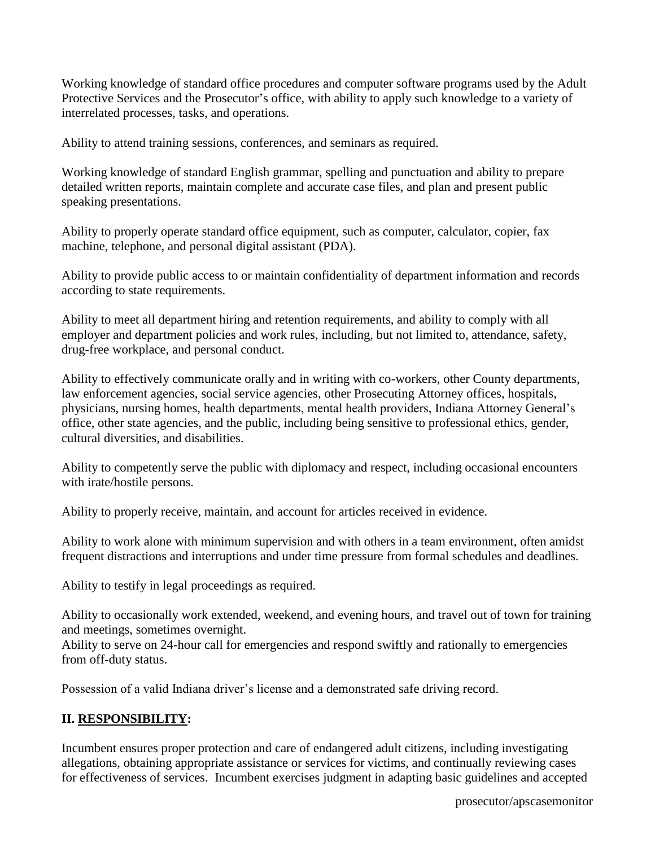Working knowledge of standard office procedures and computer software programs used by the Adult Protective Services and the Prosecutor's office, with ability to apply such knowledge to a variety of interrelated processes, tasks, and operations.

Ability to attend training sessions, conferences, and seminars as required.

Working knowledge of standard English grammar, spelling and punctuation and ability to prepare detailed written reports, maintain complete and accurate case files, and plan and present public speaking presentations.

Ability to properly operate standard office equipment, such as computer, calculator, copier, fax machine, telephone, and personal digital assistant (PDA).

Ability to provide public access to or maintain confidentiality of department information and records according to state requirements.

Ability to meet all department hiring and retention requirements, and ability to comply with all employer and department policies and work rules, including, but not limited to, attendance, safety, drug-free workplace, and personal conduct.

Ability to effectively communicate orally and in writing with co-workers, other County departments, law enforcement agencies, social service agencies, other Prosecuting Attorney offices, hospitals, physicians, nursing homes, health departments, mental health providers, Indiana Attorney General's office, other state agencies, and the public, including being sensitive to professional ethics, gender, cultural diversities, and disabilities.

Ability to competently serve the public with diplomacy and respect, including occasional encounters with irate/hostile persons.

Ability to properly receive, maintain, and account for articles received in evidence.

Ability to work alone with minimum supervision and with others in a team environment, often amidst frequent distractions and interruptions and under time pressure from formal schedules and deadlines.

Ability to testify in legal proceedings as required.

Ability to occasionally work extended, weekend, and evening hours, and travel out of town for training and meetings, sometimes overnight.

Ability to serve on 24-hour call for emergencies and respond swiftly and rationally to emergencies from off-duty status.

Possession of a valid Indiana driver's license and a demonstrated safe driving record.

# **II. RESPONSIBILITY:**

Incumbent ensures proper protection and care of endangered adult citizens, including investigating allegations, obtaining appropriate assistance or services for victims, and continually reviewing cases for effectiveness of services. Incumbent exercises judgment in adapting basic guidelines and accepted